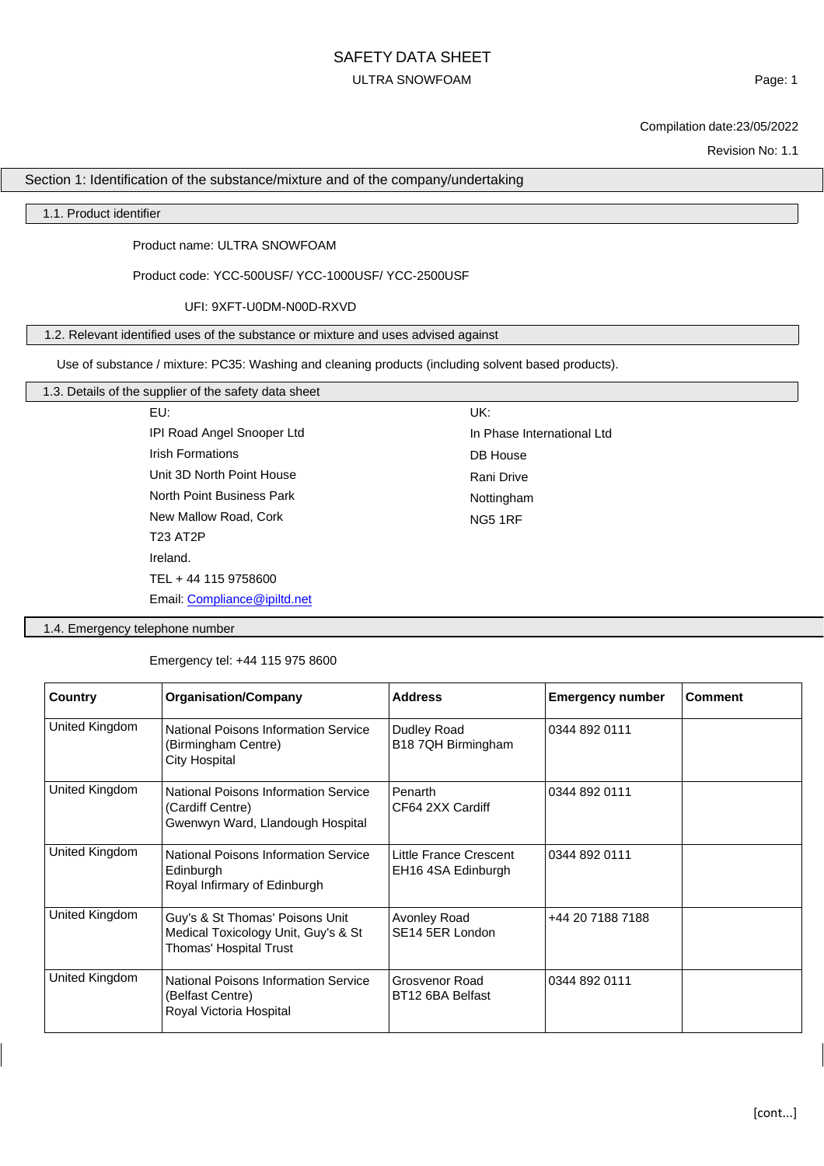# SAFETY DATA SHEET ULTRA SNOWFOAM

Page: 1

Compilation date:23/05/2022

Revision No: 1.1

### Section 1: Identification of the substance/mixture and of the company/undertaking

#### 1.1. Product identifier

Product name: ULTRA SNOWFOAM

Product code: YCC-500USF/ YCC-1000USF/ YCC-2500USF

UFI: 9XFT-U0DM-N00D-RXVD

1.2. Relevant identified uses of the substance or mixture and uses advised against

Use of substance / mixture: PC35: Washing and cleaning products (including solvent based products).

### 1.3. Details of the supplier of the safety data sheet

EU: IPI Road Angel Snooper Ltd Irish Formations Unit 3D North Point House North Point Business Park New Mallow Road, Cork T23 AT2P Ireland. TEL + 44 115 9758600 Email: [Compliance@ipiltd.net](mailto:Compliance@ipiltd.net) UK: In Phase International Ltd DB House Rani Drive Nottingham NG5 1RF

1.4. Emergency telephone number

Emergency tel: +44 115 975 8600

| Country        | <b>Organisation/Company</b>                                                                      | <b>Address</b>                               | <b>Emergency number</b> | <b>Comment</b> |
|----------------|--------------------------------------------------------------------------------------------------|----------------------------------------------|-------------------------|----------------|
| United Kingdom | <b>National Poisons Information Service</b><br>(Birmingham Centre)<br><b>City Hospital</b>       | Dudley Road<br>B18 7QH Birmingham            | 0344 892 0111           |                |
| United Kingdom | National Poisons Information Service<br>(Cardiff Centre)<br>Gwenwyn Ward, Llandough Hospital     | Penarth<br>CF64 2XX Cardiff                  | 0344 892 0111           |                |
| United Kingdom | National Poisons Information Service<br>Edinburgh<br>Royal Infirmary of Edinburgh                | Little France Crescent<br>EH16 4SA Edinburgh | 0344 892 0111           |                |
| United Kingdom | Guy's & St Thomas' Poisons Unit<br>Medical Toxicology Unit, Guy's & St<br>Thomas' Hospital Trust | Avonley Road<br>SE14 5ER London              | +44 20 7188 7188        |                |
| United Kingdom | <b>National Poisons Information Service</b><br>(Belfast Centre)<br>Royal Victoria Hospital       | Grosvenor Road<br>BT12 6BA Belfast           | 0344 892 0111           |                |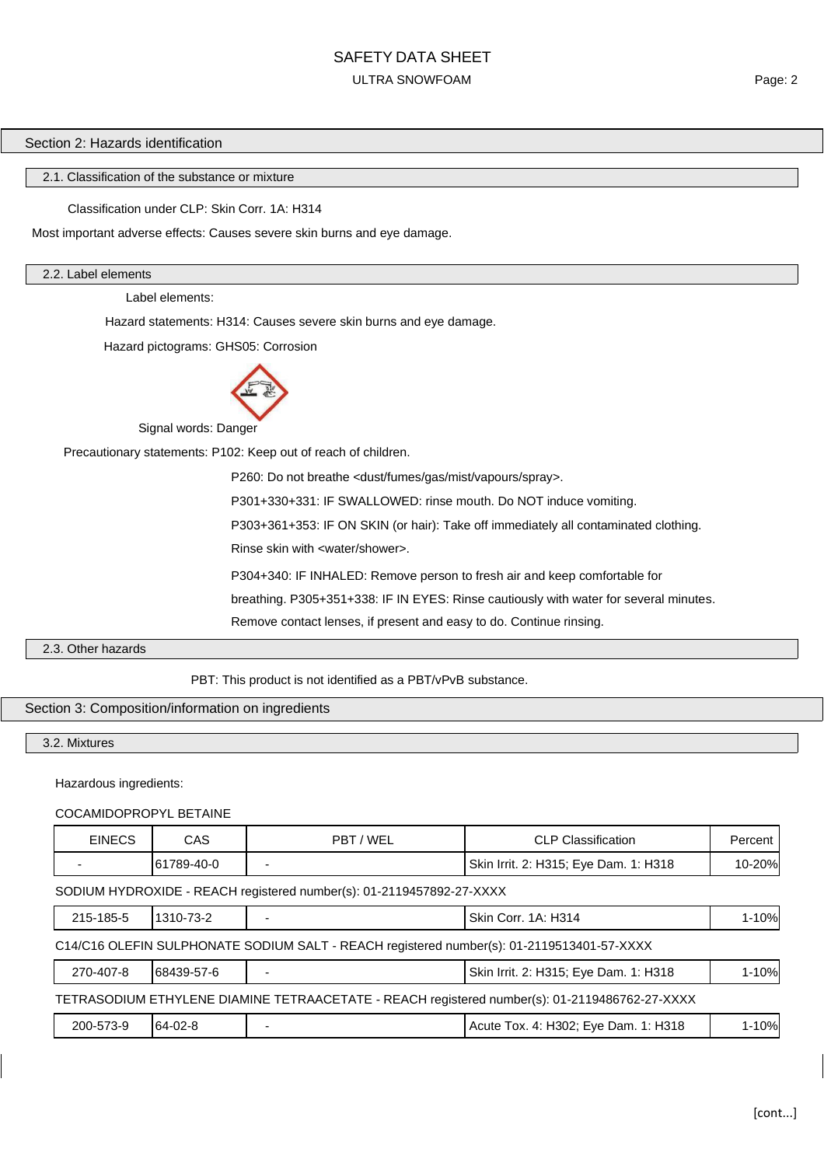#### Section 2: Hazards identification

2.1. Classification of the substance or mixture

Classification under CLP: Skin Corr. 1A: H314

Most important adverse effects: Causes severe skin burns and eye damage.

#### 2.2. Label elements

Label elements:

Hazard statements: H314: Causes severe skin burns and eye damage.

Hazard pictograms: GHS05: Corrosion



Signal words: Danger

Precautionary statements: P102: Keep out of reach of children.

P260: Do not breathe <dust/fumes/gas/mist/vapours/spray>. P301+330+331: IF SWALLOWED: rinse mouth. Do NOT induce vomiting. P303+361+353: IF ON SKIN (or hair): Take off immediately all contaminated clothing. Rinse skin with <water/shower>. P304+340: IF INHALED: Remove person to fresh air and keep comfortable for breathing. P305+351+338: IF IN EYES: Rinse cautiously with water for several minutes.

Remove contact lenses, if present and easy to do. Continue rinsing.

#### 2.3. Other hazards

PBT: This product is not identified as a PBT/vPvB substance.

### Section 3: Composition/information on ingredients

### 3.2. Mixtures

Hazardous ingredients:

#### COCAMIDOPROPYL BETAINE

| <b>EINECS</b>                                                                                 | CAS        | PBT / WEL | <b>CLP Classification</b>             | Percent |
|-----------------------------------------------------------------------------------------------|------------|-----------|---------------------------------------|---------|
|                                                                                               | 61789-40-0 |           | Skin Irrit. 2: H315; Eye Dam. 1: H318 | 10-20%  |
| SODIUM HYDROXIDE - REACH registered number(s): 01-2119457892-27-XXXX                          |            |           |                                       |         |
| 215-185-5                                                                                     | 1310-73-2  |           | Skin Corr. 1A: H314                   | 1-10%   |
| C14/C16 OLEFIN SULPHONATE SODIUM SALT - REACH registered number(s): 01-2119513401-57-XXXX     |            |           |                                       |         |
| 270-407-8                                                                                     | 68439-57-6 |           | Skin Irrit. 2: H315; Eye Dam. 1: H318 | 1-10%   |
| TETRASODIUM ETHYLENE DIAMINE TETRAACETATE - REACH registered number(s): 01-2119486762-27-XXXX |            |           |                                       |         |
| 200-573-9                                                                                     | 64-02-8    |           | Acute Tox. 4: H302; Eye Dam. 1: H318  | 1-10%   |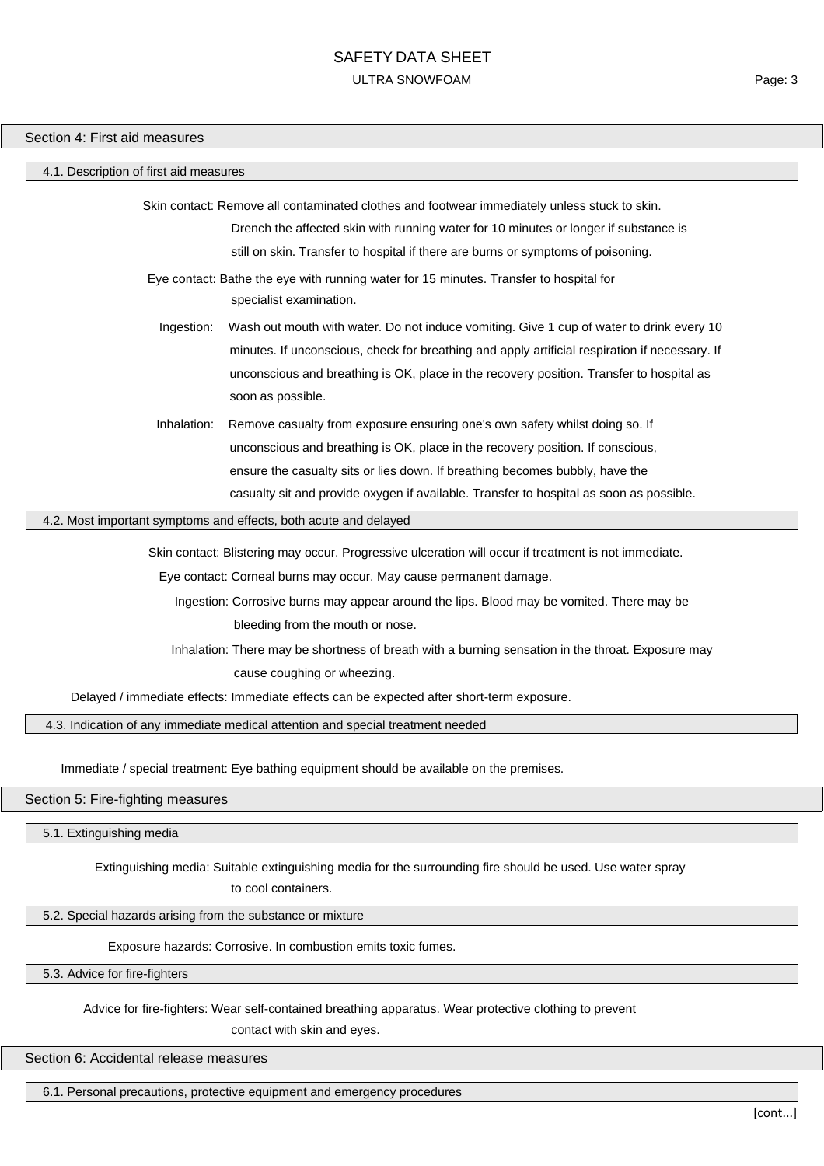#### Section 4: First aid measures

#### 4.1. Description of first aid measures

Skin contact: Remove all contaminated clothes and footwear immediately unless stuck to skin.

Drench the affected skin with running water for 10 minutes or longer if substance is still on skin. Transfer to hospital if there are burns or symptoms of poisoning.

Eye contact: Bathe the eye with running water for 15 minutes. Transfer to hospital for specialist examination.

- Ingestion: Wash out mouth with water. Do not induce vomiting. Give 1 cup of water to drink every 10 minutes. If unconscious, check for breathing and apply artificial respiration if necessary. If unconscious and breathing is OK, place in the recovery position. Transfer to hospital as soon as possible.
- Inhalation: Remove casualty from exposure ensuring one's own safety whilst doing so. If unconscious and breathing is OK, place in the recovery position. If conscious, ensure the casualty sits or lies down. If breathing becomes bubbly, have the casualty sit and provide oxygen if available. Transfer to hospital as soon as possible.

#### 4.2. Most important symptoms and effects, both acute and delayed

Skin contact: Blistering may occur. Progressive ulceration will occur if treatment is not immediate.

Eye contact: Corneal burns may occur. May cause permanent damage.

Ingestion: Corrosive burns may appear around the lips. Blood may be vomited. There may be bleeding from the mouth or nose.

Inhalation: There may be shortness of breath with a burning sensation in the throat. Exposure may cause coughing or wheezing.

Delayed / immediate effects: Immediate effects can be expected after short-term exposure.

4.3. Indication of any immediate medical attention and special treatment needed

Immediate / special treatment: Eye bathing equipment should be available on the premises.

#### Section 5: Fire-fighting measures

5.1. Extinguishing media

Extinguishing media: Suitable extinguishing media for the surrounding fire should be used. Use water spray

to cool containers.

#### 5.2. Special hazards arising from the substance or mixture

Exposure hazards: Corrosive. In combustion emits toxic fumes.

5.3. Advice for fire-fighters

Advice for fire-fighters: Wear self-contained breathing apparatus. Wear protective clothing to prevent contact with skin and eyes.

Section 6: Accidental release measures

6.1. Personal precautions, protective equipment and emergency procedures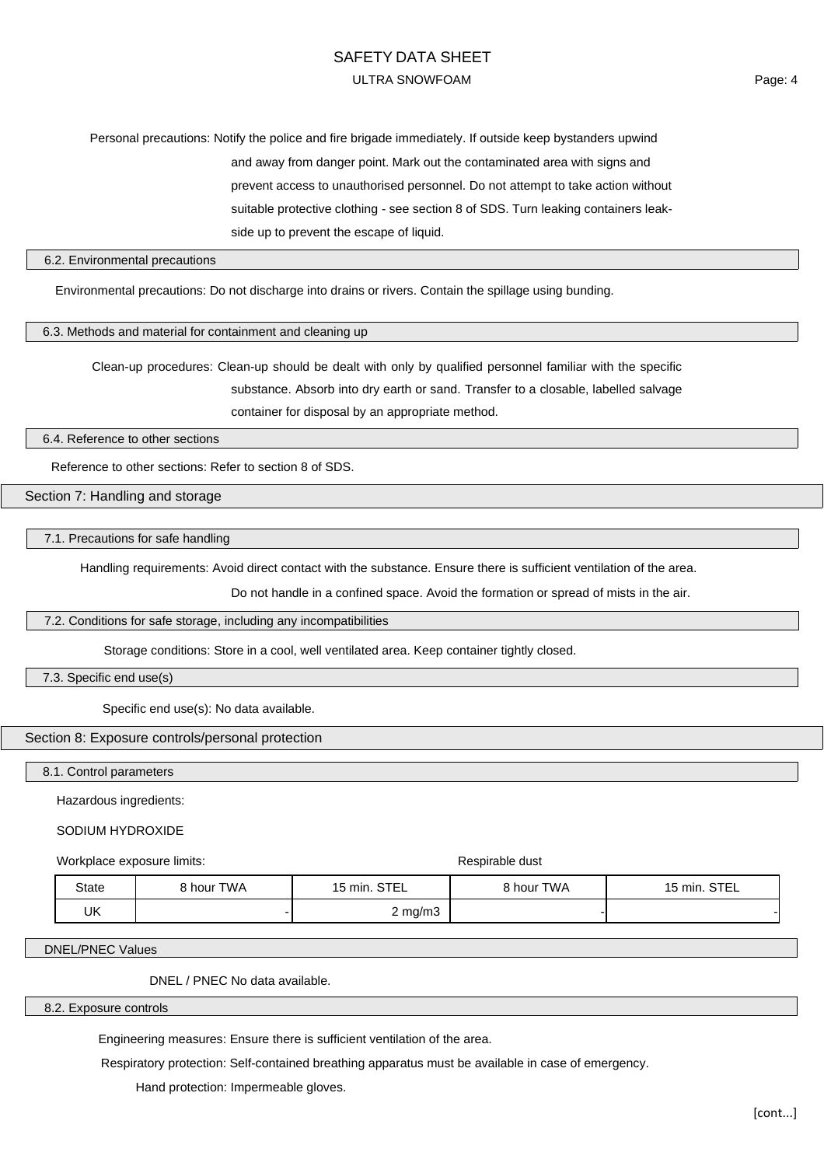# SAFETY DATA SHEET ULTRA SNOWFOAM

Page: 4

# Personal precautions: Notify the police and fire brigade immediately. If outside keep bystanders upwind and away from danger point. Mark out the contaminated area with signs and prevent access to unauthorised personnel. Do not attempt to take action without suitable protective clothing - see section 8 of SDS. Turn leaking containers leakside up to prevent the escape of liquid.

#### 6.2. Environmental precautions

Environmental precautions: Do not discharge into drains or rivers. Contain the spillage using bunding.

#### 6.3. Methods and material for containment and cleaning up

Clean-up procedures: Clean-up should be dealt with only by qualified personnel familiar with the specific substance. Absorb into dry earth or sand. Transfer to a closable, labelled salvage container for disposal by an appropriate method.

6.4. Reference to other sections

Reference to other sections: Refer to section 8 of SDS.

Section 7: Handling and storage

#### 7.1. Precautions for safe handling

Handling requirements: Avoid direct contact with the substance. Ensure there is sufficient ventilation of the area.

Do not handle in a confined space. Avoid the formation or spread of mists in the air.

#### 7.2. Conditions for safe storage, including any incompatibilities

Storage conditions: Store in a cool, well ventilated area. Keep container tightly closed.

7.3. Specific end use(s)

Specific end use(s): No data available.

#### Section 8: Exposure controls/personal protection

8.1. Control parameters

Hazardous ingredients:

SODIUM HYDROXIDE

Workplace exposure limits: Workplace exposure limits:

| State | 8 hour TWA | 15 min. STEL | 8 hour TWA | 15 min. STEL |
|-------|------------|--------------|------------|--------------|
| UK    |            | $2$ mg/m $3$ |            |              |

DNEL/PNEC Values

DNEL / PNEC No data available.

#### 8.2. Exposure controls

Engineering measures: Ensure there is sufficient ventilation of the area.

Respiratory protection: Self-contained breathing apparatus must be available in case of emergency.

Hand protection: Impermeable gloves.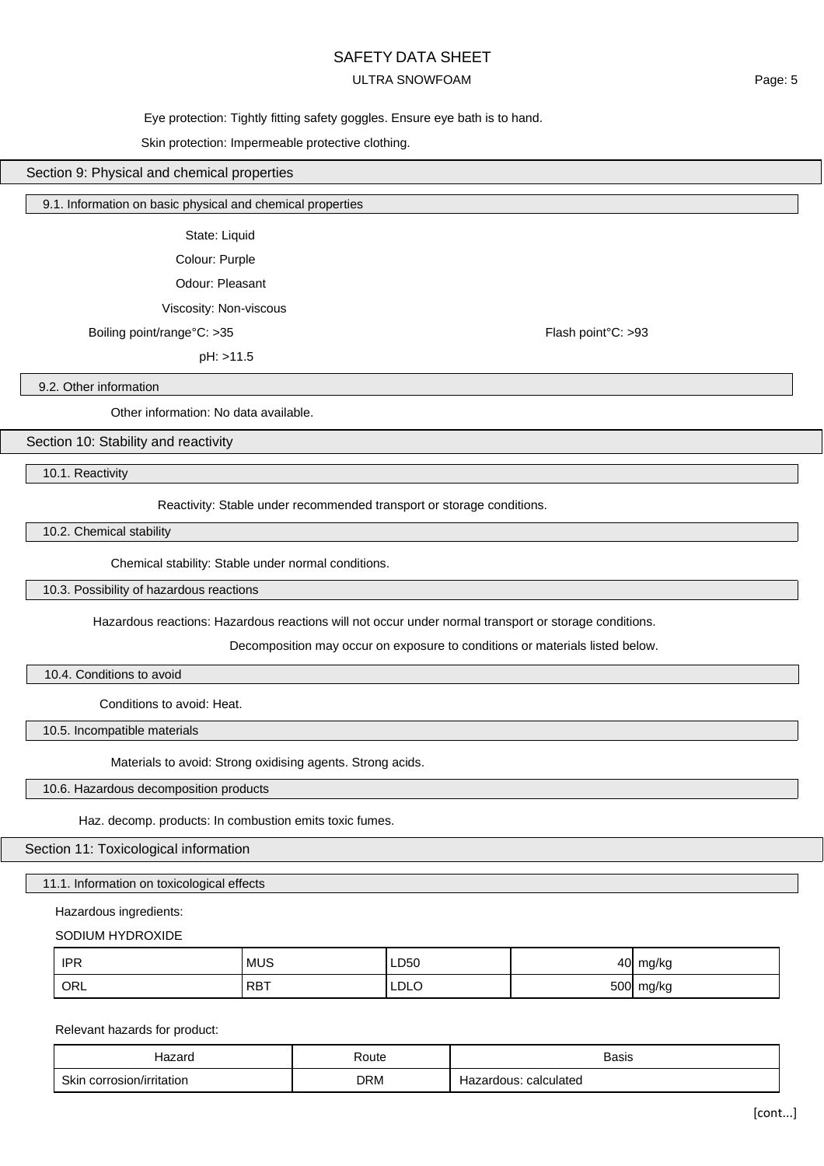### SAFETY DATA SHEET

### ULTRA SNOWFOAM

### Eye protection: Tightly fitting safety goggles. Ensure eye bath is to hand.

#### Skin protection: Impermeable protective clothing.

### Section 9: Physical and chemical properties

#### 9.1. Information on basic physical and chemical properties

State: Liquid

Colour: Purple

Odour: Pleasant

Viscosity: Non-viscous

Boiling point/range°C: >35 Flash point/range°C: >35

pH: >11.5

9.2. Other information

Other information: No data available.

Section 10: Stability and reactivity

10.1. Reactivity

Reactivity: Stable under recommended transport or storage conditions.

10.2. Chemical stability

Chemical stability: Stable under normal conditions.

10.3. Possibility of hazardous reactions

Hazardous reactions: Hazardous reactions will not occur under normal transport or storage conditions.

Decomposition may occur on exposure to conditions or materials listed below.

10.4. Conditions to avoid

Conditions to avoid: Heat.

10.5. Incompatible materials

Materials to avoid: Strong oxidising agents. Strong acids.

10.6. Hazardous decomposition products

Haz. decomp. products: In combustion emits toxic fumes.

Section 11: Toxicological information

11.1. Information on toxicological effects

Hazardous ingredients:

SODIUM HYDROXIDE

| <b>IPR</b> | <b>MUS</b> | LD50 | 40         | mg/kg<br>ີ |
|------------|------------|------|------------|------------|
| ORL        | <b>RBT</b> | LDLC | <b>500</b> | mg/kg<br>ັ |

Relevant hazards for product:

| lazard                    | Route      | <b>Basis</b>             |
|---------------------------|------------|--------------------------|
| Skin corrosion/irritation | <b>DRM</b> | calculated<br>⊣azardous: |

Page: 5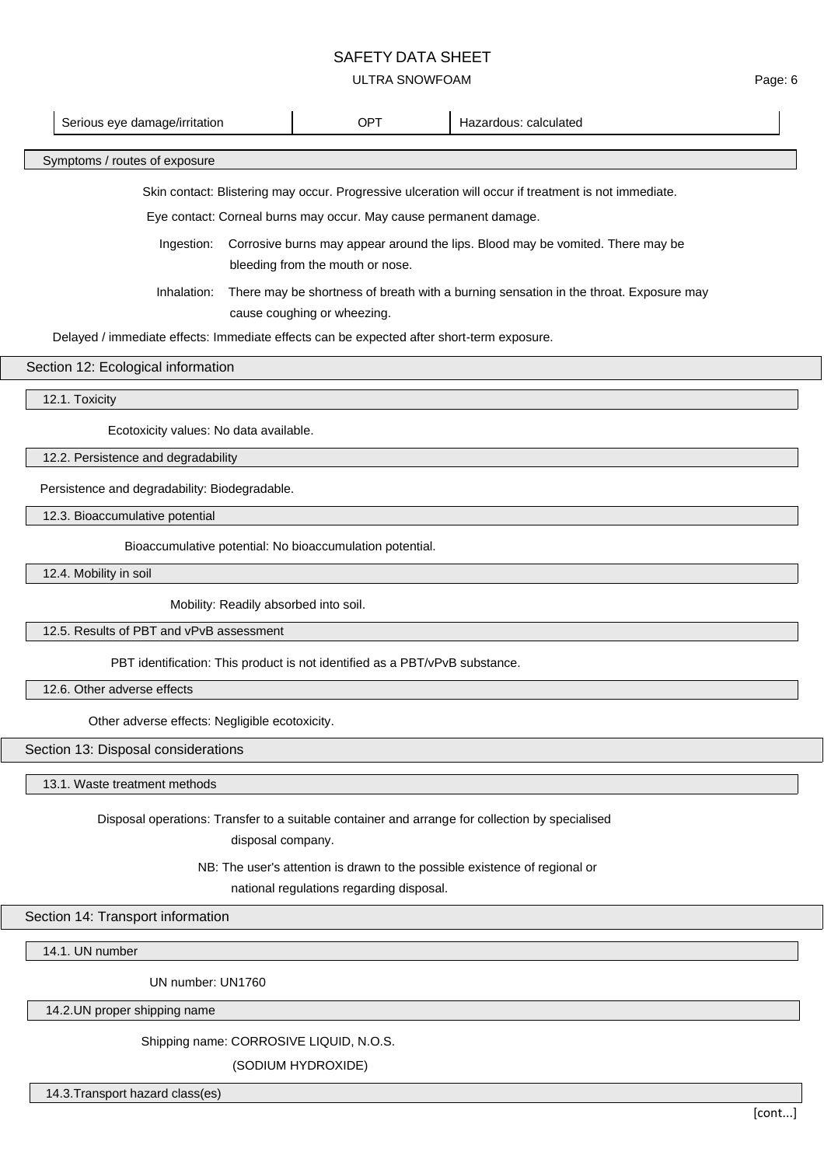# SAFETY DATA SHEET

### ULTRA SNOWFOAM

| Serious eye damage/irritation                                                                                        | <b>OPT</b>                                                                                                           | Hazardous: calculated |  |  |  |
|----------------------------------------------------------------------------------------------------------------------|----------------------------------------------------------------------------------------------------------------------|-----------------------|--|--|--|
| Symptoms / routes of exposure                                                                                        |                                                                                                                      |                       |  |  |  |
|                                                                                                                      | Skin contact: Blistering may occur. Progressive ulceration will occur if treatment is not immediate.                 |                       |  |  |  |
|                                                                                                                      | Eye contact: Corneal burns may occur. May cause permanent damage.                                                    |                       |  |  |  |
| Ingestion:                                                                                                           | Corrosive burns may appear around the lips. Blood may be vomited. There may be                                       |                       |  |  |  |
| bleeding from the mouth or nose.                                                                                     |                                                                                                                      |                       |  |  |  |
| Inhalation:                                                                                                          | There may be shortness of breath with a burning sensation in the throat. Exposure may<br>cause coughing or wheezing. |                       |  |  |  |
| Delayed / immediate effects: Immediate effects can be expected after short-term exposure.                            |                                                                                                                      |                       |  |  |  |
| Section 12: Ecological information                                                                                   |                                                                                                                      |                       |  |  |  |
| 12.1. Toxicity                                                                                                       |                                                                                                                      |                       |  |  |  |
| Ecotoxicity values: No data available.                                                                               |                                                                                                                      |                       |  |  |  |
| 12.2. Persistence and degradability                                                                                  |                                                                                                                      |                       |  |  |  |
| Persistence and degradability: Biodegradable.                                                                        |                                                                                                                      |                       |  |  |  |
| 12.3. Bioaccumulative potential                                                                                      |                                                                                                                      |                       |  |  |  |
| Bioaccumulative potential: No bioaccumulation potential.                                                             |                                                                                                                      |                       |  |  |  |
| 12.4. Mobility in soil                                                                                               |                                                                                                                      |                       |  |  |  |
| Mobility: Readily absorbed into soil.                                                                                |                                                                                                                      |                       |  |  |  |
| 12.5. Results of PBT and vPvB assessment                                                                             |                                                                                                                      |                       |  |  |  |
| PBT identification: This product is not identified as a PBT/vPvB substance.                                          |                                                                                                                      |                       |  |  |  |
| 12.6. Other adverse effects                                                                                          |                                                                                                                      |                       |  |  |  |
| Other adverse effects: Negligible ecotoxicity.                                                                       |                                                                                                                      |                       |  |  |  |
| Section 13: Disposal considerations                                                                                  |                                                                                                                      |                       |  |  |  |
| 13.1. Waste treatment methods                                                                                        |                                                                                                                      |                       |  |  |  |
| Disposal operations: Transfer to a suitable container and arrange for collection by specialised<br>disposal company. |                                                                                                                      |                       |  |  |  |
| NB: The user's attention is drawn to the possible existence of regional or                                           |                                                                                                                      |                       |  |  |  |
| national regulations regarding disposal.                                                                             |                                                                                                                      |                       |  |  |  |
| Section 14: Transport information                                                                                    |                                                                                                                      |                       |  |  |  |
| 14.1. UN number                                                                                                      |                                                                                                                      |                       |  |  |  |
| UN number: UN1760                                                                                                    |                                                                                                                      |                       |  |  |  |

14.2.UN proper shipping name

Shipping name: CORROSIVE LIQUID, N.O.S.

(SODIUM HYDROXIDE)

14.3.Transport hazard class(es)

Page: 6